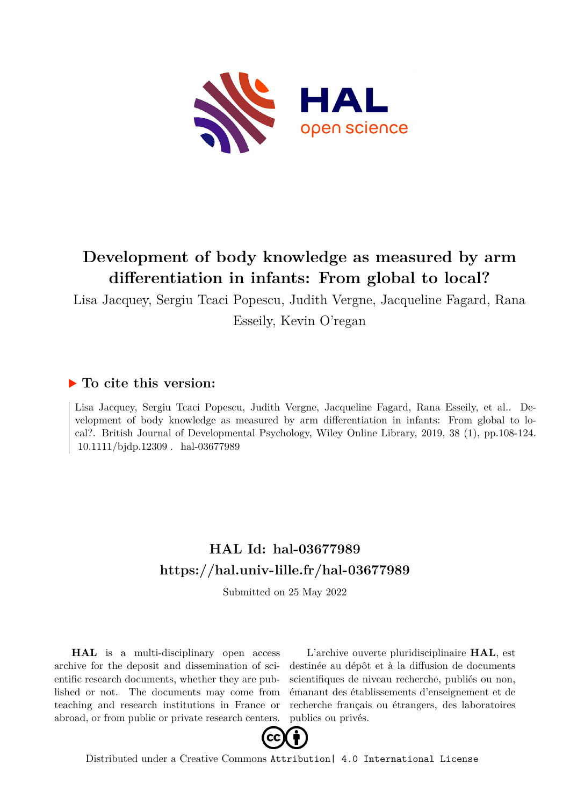

# **Development of body knowledge as measured by arm differentiation in infants: From global to local?**

Lisa Jacquey, Sergiu Tcaci Popescu, Judith Vergne, Jacqueline Fagard, Rana Esseily, Kevin O'regan

# **To cite this version:**

Lisa Jacquey, Sergiu Tcaci Popescu, Judith Vergne, Jacqueline Fagard, Rana Esseily, et al.. Development of body knowledge as measured by arm differentiation in infants: From global to local?. British Journal of Developmental Psychology, Wiley Online Library, 2019, 38 (1), pp.108-124. 10.1111/bjdp.12309. hal-03677989

# **HAL Id: hal-03677989 <https://hal.univ-lille.fr/hal-03677989>**

Submitted on 25 May 2022

**HAL** is a multi-disciplinary open access archive for the deposit and dissemination of scientific research documents, whether they are published or not. The documents may come from teaching and research institutions in France or abroad, or from public or private research centers.

L'archive ouverte pluridisciplinaire **HAL**, est destinée au dépôt et à la diffusion de documents scientifiques de niveau recherche, publiés ou non, émanant des établissements d'enseignement et de recherche français ou étrangers, des laboratoires publics ou privés.



Distributed under a Creative Commons [Attribution| 4.0 International License](http://creativecommons.org/licenses/by/4.0/)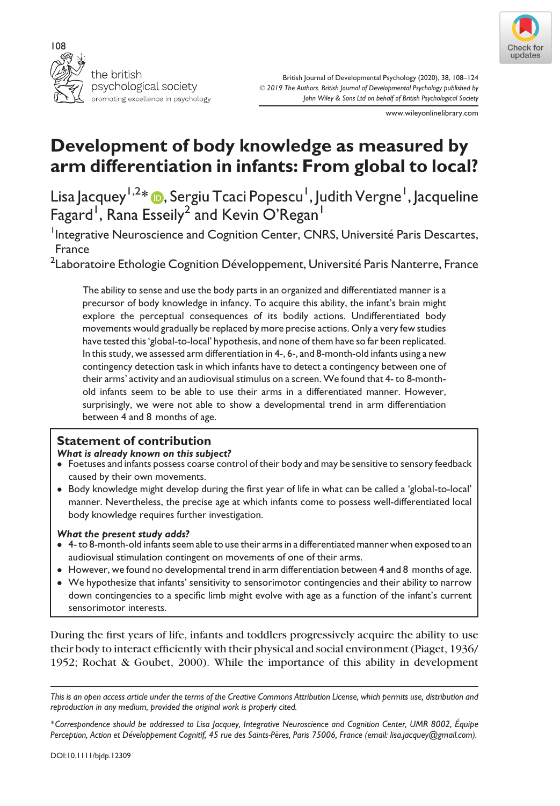



British Journal of Developmental Psychology (2020), 38, 108–124 © 2019 The Authors. British Journal of Developmental Psychology published by John Wiley & Sons Ltd on behalf of British Psychological Society

www.wileyonlinelibrary.com

# Development of body knowledge as measured by arm differentiation in infants: From global to local?

Lisa Jacquey1,2\* , Sergiu Tcaci Popescu<sup>1</sup> , Judith Vergne<sup>1</sup> , Jacqueline Fagard<sup>1</sup>, Rana Esseily<sup>2</sup> and Kevin O'Regan<sup>1</sup>

<sup>1</sup>Integrative Neuroscience and Cognition Center, CNRS, Université Paris Descartes, France

 $^{\sf 2}$ Laboratoire Ethologie Cognition Développement, Université Paris Nanterre, France

The ability to sense and use the body parts in an organized and differentiated manner is a precursor of body knowledge in infancy. To acquire this ability, the infant's brain might explore the perceptual consequences of its bodily actions. Undifferentiated body movements would gradually be replaced by more precise actions. Only a very few studies have tested this 'global-to-local' hypothesis, and none of them have so far been replicated. In this study, we assessed arm differentiation in 4-, 6-, and 8-month-old infants using a new contingency detection task in which infants have to detect a contingency between one of their arms' activity and an audiovisual stimulus on a screen. We found that 4- to 8-monthold infants seem to be able to use their arms in a differentiated manner. However, surprisingly, we were not able to show a developmental trend in arm differentiation between 4 and 8 months of age.

# Statement of contribution

## What is already known on this subject?

- Foetuses and infants possess coarse control of their body and may be sensitive to sensory feedback caused by their own movements.
- Body knowledge might develop during the first year of life in what can be called a 'global-to-local' manner. Nevertheless, the precise age at which infants come to possess well-differentiated local body knowledge requires further investigation.

## What the present study adds?

- 4- to 8-month-old infants seem able to use their arms in a differentiated manner when exposed to an audiovisual stimulation contingent on movements of one of their arms.
- However, we found no developmental trend in arm differentiation between 4 and 8 months of age.
- We hypothesize that infants' sensitivity to sensorimotor contingencies and their ability to narrow down contingencies to a specific limb might evolve with age as a function of the infant's current sensorimotor interests.

During the first years of life, infants and toddlers progressively acquire the ability to use their body to interact efficiently with their physical and social environment (Piaget, 1936/ 1952; Rochat & Goubet, 2000). While the importance of this ability in development

This is an open access article under the terms of the [Creative Commons Attribution](http://creativecommons.org/licenses/by/4.0/) License, which permits use, distribution and reproduction in any medium, provided the original work is properly cited.

<sup>\*</sup>Correspondence should be addressed to Lisa Jacquey, Integrative Neuroscience and Cognition Center, UMR 8002, Equipe Perception, Action et Développement Cognitif, 45 rue des Saints-Pères, Paris 75006, France (email: [lisa.jacquey@gmail.com](mailto:)).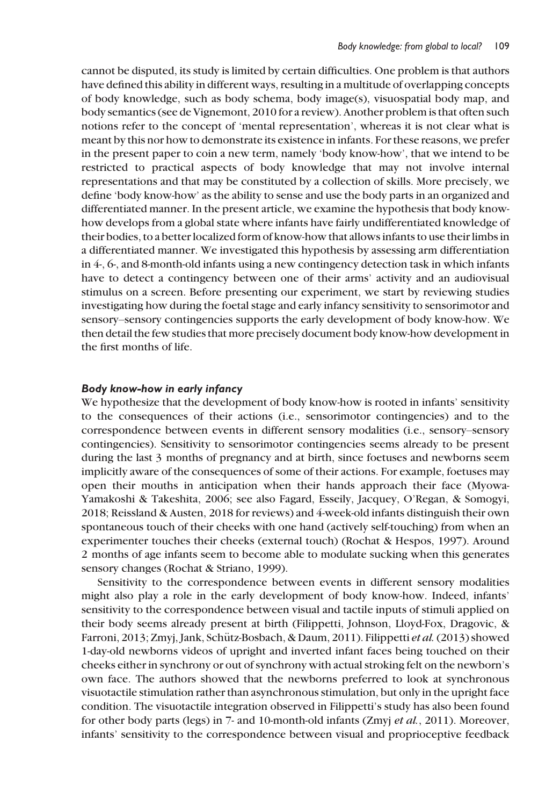cannot be disputed, its study is limited by certain difficulties. One problem is that authors have defined this ability in different ways, resulting in a multitude of overlapping concepts of body knowledge, such as body schema, body image(s), visuospatial body map, and body semantics (see de Vignemont, 2010 for a review). Another problem is that often such notions refer to the concept of 'mental representation', whereas it is not clear what is meant by this nor how to demonstrate its existence in infants. For these reasons, we prefer in the present paper to coin a new term, namely 'body know-how', that we intend to be restricted to practical aspects of body knowledge that may not involve internal representations and that may be constituted by a collection of skills. More precisely, we define 'body know-how' as the ability to sense and use the body parts in an organized and differentiated manner. In the present article, we examine the hypothesis that body knowhow develops from a global state where infants have fairly undifferentiated knowledge of their bodies, to a better localized form of know-how that allows infants to use their limbs in a differentiated manner. We investigated this hypothesis by assessing arm differentiation in 4-, 6-, and 8-month-old infants using a new contingency detection task in which infants have to detect a contingency between one of their arms' activity and an audiovisual stimulus on a screen. Before presenting our experiment, we start by reviewing studies investigating how during the foetal stage and early infancy sensitivity to sensorimotor and sensory–sensory contingencies supports the early development of body know-how. We then detail the few studies that more precisely document body know-how development in the first months of life.

#### Body know-how in early infancy

We hypothesize that the development of body know-how is rooted in infants' sensitivity to the consequences of their actions (i.e., sensorimotor contingencies) and to the correspondence between events in different sensory modalities (i.e., sensory–sensory contingencies). Sensitivity to sensorimotor contingencies seems already to be present during the last 3 months of pregnancy and at birth, since foetuses and newborns seem implicitly aware of the consequences of some of their actions. For example, foetuses may open their mouths in anticipation when their hands approach their face (Myowa-Yamakoshi & Takeshita, 2006; see also Fagard, Esseily, Jacquey, O'Regan, & Somogyi, 2018; Reissland & Austen, 2018 for reviews) and 4-week-old infants distinguish their own spontaneous touch of their cheeks with one hand (actively self-touching) from when an experimenter touches their cheeks (external touch) (Rochat & Hespos, 1997). Around 2 months of age infants seem to become able to modulate sucking when this generates sensory changes (Rochat & Striano, 1999).

Sensitivity to the correspondence between events in different sensory modalities might also play a role in the early development of body know-how. Indeed, infants' sensitivity to the correspondence between visual and tactile inputs of stimuli applied on their body seems already present at birth (Filippetti, Johnson, Lloyd-Fox, Dragovic, & Farroni, 2013; Zmyj, Jank, Schütz-Bosbach, & Daum, 2011). Filippetti et al. (2013) showed 1-day-old newborns videos of upright and inverted infant faces being touched on their cheeks either in synchrony or out of synchrony with actual stroking felt on the newborn's own face. The authors showed that the newborns preferred to look at synchronous visuotactile stimulation rather than asynchronous stimulation, but only in the upright face condition. The visuotactile integration observed in Filippetti's study has also been found for other body parts (legs) in 7- and 10-month-old infants (Zmyj et al., 2011). Moreover, infants' sensitivity to the correspondence between visual and proprioceptive feedback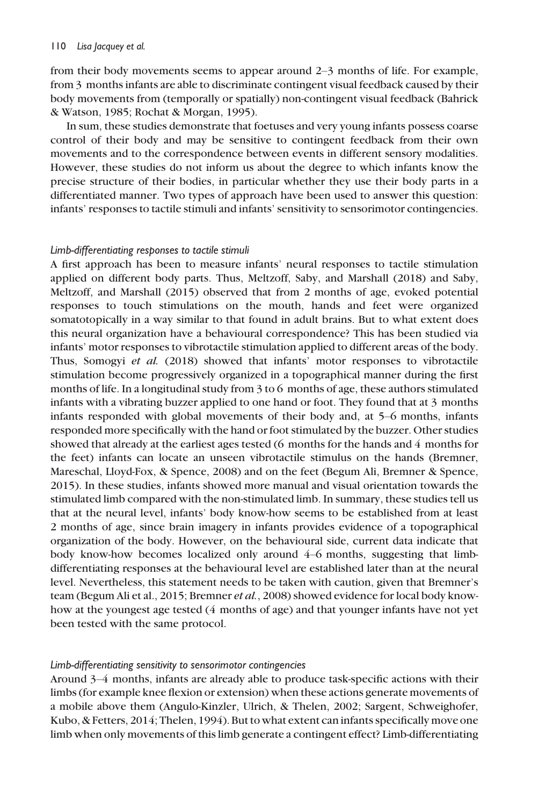from their body movements seems to appear around 2–3 months of life. For example, from 3 months infants are able to discriminate contingent visual feedback caused by their body movements from (temporally or spatially) non-contingent visual feedback (Bahrick & Watson, 1985; Rochat & Morgan, 1995).

In sum, these studies demonstrate that foetuses and very young infants possess coarse control of their body and may be sensitive to contingent feedback from their own movements and to the correspondence between events in different sensory modalities. However, these studies do not inform us about the degree to which infants know the precise structure of their bodies, in particular whether they use their body parts in a differentiated manner. Two types of approach have been used to answer this question: infants' responses to tactile stimuli and infants' sensitivity to sensorimotor contingencies.

#### Limb-differentiating responses to tactile stimuli

A first approach has been to measure infants' neural responses to tactile stimulation applied on different body parts. Thus, Meltzoff, Saby, and Marshall (2018) and Saby, Meltzoff, and Marshall (2015) observed that from 2 months of age, evoked potential responses to touch stimulations on the mouth, hands and feet were organized somatotopically in a way similar to that found in adult brains. But to what extent does this neural organization have a behavioural correspondence? This has been studied via infants' motor responses to vibrotactile stimulation applied to different areas of the body. Thus, Somogyi et al. (2018) showed that infants' motor responses to vibrotactile stimulation become progressively organized in a topographical manner during the first months of life. In a longitudinal study from 3 to 6 months of age, these authors stimulated infants with a vibrating buzzer applied to one hand or foot. They found that at 3 months infants responded with global movements of their body and, at 5–6 months, infants responded more specifically with the hand or foot stimulated by the buzzer. Other studies showed that already at the earliest ages tested (6 months for the hands and 4 months for the feet) infants can locate an unseen vibrotactile stimulus on the hands (Bremner, Mareschal, Lloyd-Fox, & Spence, 2008) and on the feet (Begum Ali, Bremner & Spence, 2015). In these studies, infants showed more manual and visual orientation towards the stimulated limb compared with the non-stimulated limb. In summary, these studies tell us that at the neural level, infants' body know-how seems to be established from at least 2 months of age, since brain imagery in infants provides evidence of a topographical organization of the body. However, on the behavioural side, current data indicate that body know-how becomes localized only around 4–6 months, suggesting that limbdifferentiating responses at the behavioural level are established later than at the neural level. Nevertheless, this statement needs to be taken with caution, given that Bremner's team (Begum Ali et al., 2015; Bremner et al., 2008) showed evidence for local body knowhow at the youngest age tested (4 months of age) and that younger infants have not yet been tested with the same protocol.

#### Limb-differentiating sensitivity to sensorimotor contingencies

Around 3–4 months, infants are already able to produce task-specific actions with their limbs (for example knee flexion or extension) when these actions generate movements of a mobile above them (Angulo-Kinzler, Ulrich, & Thelen, 2002; Sargent, Schweighofer, Kubo, & Fetters, 2014; Thelen, 1994). But to what extent can infants specifically move one limb when only movements of this limb generate a contingent effect? Limb-differentiating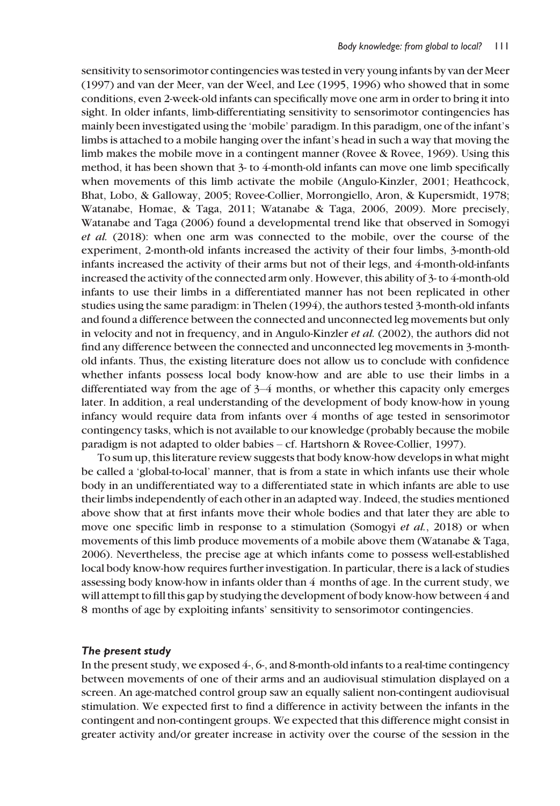sensitivity to sensorimotor contingencies was tested in very young infants by van der Meer (1997) and van der Meer, van der Weel, and Lee (1995, 1996) who showed that in some conditions, even 2-week-old infants can specifically move one arm in order to bring it into sight. In older infants, limb-differentiating sensitivity to sensorimotor contingencies has mainly been investigated using the 'mobile' paradigm. In this paradigm, one of the infant's limbs is attached to a mobile hanging over the infant's head in such a way that moving the limb makes the mobile move in a contingent manner (Rovee & Rovee, 1969). Using this method, it has been shown that 3- to 4-month-old infants can move one limb specifically when movements of this limb activate the mobile (Angulo-Kinzler, 2001; Heathcock, Bhat, Lobo, & Galloway, 2005; Rovee-Collier, Morrongiello, Aron, & Kupersmidt, 1978; Watanabe, Homae, & Taga, 2011; Watanabe & Taga, 2006, 2009). More precisely, Watanabe and Taga (2006) found a developmental trend like that observed in Somogyi et al. (2018): when one arm was connected to the mobile, over the course of the experiment, 2-month-old infants increased the activity of their four limbs, 3-month-old infants increased the activity of their arms but not of their legs, and 4-month-old-infants increased the activity of the connected arm only. However, this ability of 3- to 4-month-old infants to use their limbs in a differentiated manner has not been replicated in other studies using the same paradigm: in Thelen (1994), the authors tested 3-month-old infants and found a difference between the connected and unconnected leg movements but only in velocity and not in frequency, and in Angulo-Kinzler et al. (2002), the authors did not find any difference between the connected and unconnected leg movements in 3-monthold infants. Thus, the existing literature does not allow us to conclude with confidence whether infants possess local body know-how and are able to use their limbs in a differentiated way from the age of 3–4 months, or whether this capacity only emerges later. In addition, a real understanding of the development of body know-how in young infancy would require data from infants over 4 months of age tested in sensorimotor contingency tasks, which is not available to our knowledge (probably because the mobile paradigm is not adapted to older babies – cf. Hartshorn & Rovee-Collier, 1997).

To sum up, this literature review suggests that body know-how develops in what might be called a 'global-to-local' manner, that is from a state in which infants use their whole body in an undifferentiated way to a differentiated state in which infants are able to use their limbs independently of each other in an adapted way. Indeed, the studies mentioned above show that at first infants move their whole bodies and that later they are able to move one specific limb in response to a stimulation (Somogyi et al., 2018) or when movements of this limb produce movements of a mobile above them (Watanabe & Taga, 2006). Nevertheless, the precise age at which infants come to possess well-established local body know-how requires further investigation. In particular, there is a lack of studies assessing body know-how in infants older than 4 months of age. In the current study, we will attempt to fill this gap by studying the development of body know-how between 4 and 8 months of age by exploiting infants' sensitivity to sensorimotor contingencies.

#### The present study

In the present study, we exposed 4-, 6-, and 8-month-old infants to a real-time contingency between movements of one of their arms and an audiovisual stimulation displayed on a screen. An age-matched control group saw an equally salient non-contingent audiovisual stimulation. We expected first to find a difference in activity between the infants in the contingent and non-contingent groups. We expected that this difference might consist in greater activity and/or greater increase in activity over the course of the session in the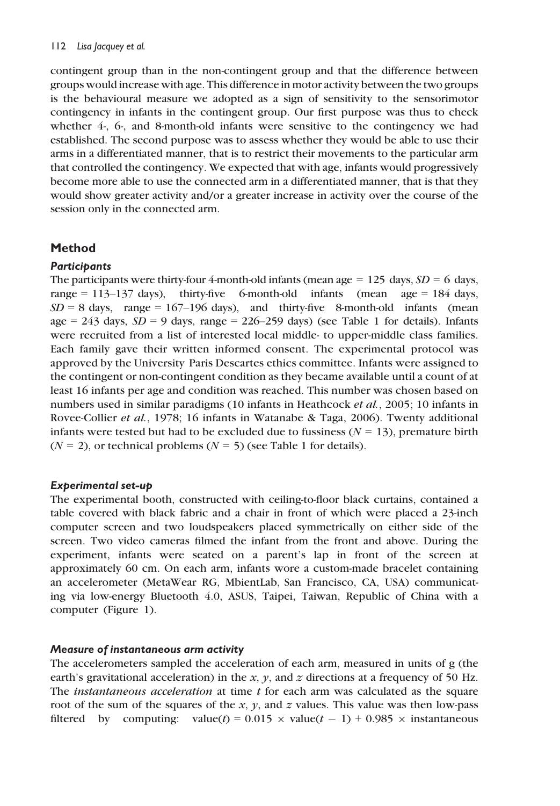contingent group than in the non-contingent group and that the difference between groups would increase with age. This difference in motor activity between the two groups is the behavioural measure we adopted as a sign of sensitivity to the sensorimotor contingency in infants in the contingent group. Our first purpose was thus to check whether 4-, 6-, and 8-month-old infants were sensitive to the contingency we had established. The second purpose was to assess whether they would be able to use their arms in a differentiated manner, that is to restrict their movements to the particular arm that controlled the contingency. We expected that with age, infants would progressively become more able to use the connected arm in a differentiated manner, that is that they would show greater activity and/or a greater increase in activity over the course of the session only in the connected arm.

## Method

## **Participants**

The participants were thirty-four 4-month-old infants (mean age = 125 days,  $SD = 6$  days, range  $= 113-137$  days, thirty-five 6-month-old infants (mean age  $= 184$  days,  $SD = 8$  days, range = 167–196 days), and thirty-five 8-month-old infants (mean age =  $243$  days,  $SD = 9$  days, range =  $226-259$  days) (see Table 1 for details). Infants were recruited from a list of interested local middle- to upper-middle class families. Each family gave their written informed consent. The experimental protocol was approved by the University Paris Descartes ethics committee. Infants were assigned to the contingent or non-contingent condition as they became available until a count of at least 16 infants per age and condition was reached. This number was chosen based on numbers used in similar paradigms (10 infants in Heathcock *et al.*, 2005; 10 infants in Rovee-Collier et al., 1978; 16 infants in Watanabe & Taga, 2006). Twenty additional infants were tested but had to be excluded due to fussiness ( $N = 13$ ), premature birth  $(N = 2)$ , or technical problems  $(N = 5)$  (see Table 1 for details).

## Experimental set-up

The experimental booth, constructed with ceiling-to-floor black curtains, contained a table covered with black fabric and a chair in front of which were placed a 23-inch computer screen and two loudspeakers placed symmetrically on either side of the screen. Two video cameras filmed the infant from the front and above. During the experiment, infants were seated on a parent's lap in front of the screen at approximately 60 cm. On each arm, infants wore a custom-made bracelet containing an accelerometer (MetaWear RG, MbientLab, San Francisco, CA, USA) communicating via low-energy Bluetooth 4.0, ASUS, Taipei, Taiwan, Republic of China with a computer (Figure 1).

## Measure of instantaneous arm activity

The accelerometers sampled the acceleration of each arm, measured in units of g (the earth's gravitational acceleration) in the x,  $\gamma$ , and z directions at a frequency of 50 Hz. The *instantaneous acceleration* at time *t* for each arm was calculated as the square root of the sum of the squares of the x,  $\gamma$ , and z values. This value was then low-pass filtered by computing:  $value(t) = 0.015 \times value(t - 1) + 0.985 \times instantaneous$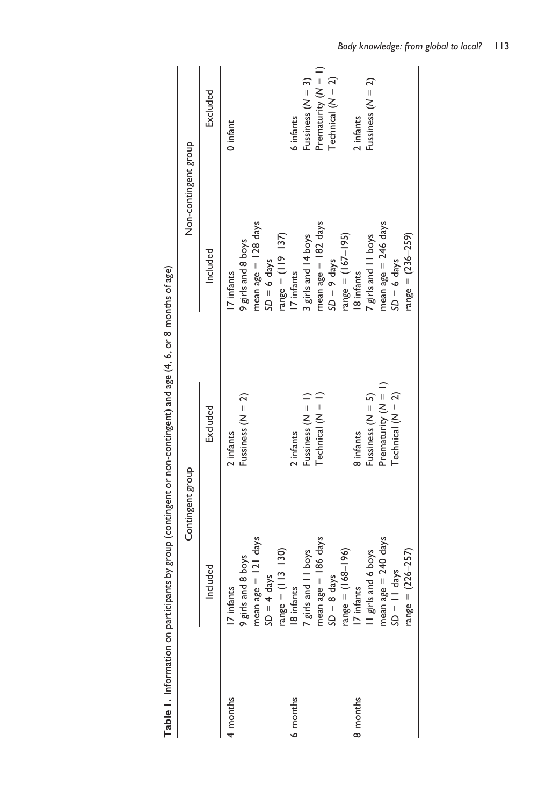|          | Contingent group                                                                                              |                                                                                  | Non-contingent group                                                                                 |                                                                                  |
|----------|---------------------------------------------------------------------------------------------------------------|----------------------------------------------------------------------------------|------------------------------------------------------------------------------------------------------|----------------------------------------------------------------------------------|
|          | Included                                                                                                      | Excluded                                                                         | Included                                                                                             | Excluded                                                                         |
| 4 months | mean age = 121 days<br>$SD = 4$ days<br>$range = (113 - 130)$<br>9 girls and 8 boys<br>17 infants             | Fussiness $(N = 2)$<br>2 infants                                                 | mean age $= 128$ days<br>range = $(119 - 137)$<br>9 girls and 8 boys<br>$SD = 6$ days<br>17 infants  | $0$ infant                                                                       |
| 6 months | mean $age = 186 \text{ days}$<br>$range = (168 - 196)$<br>7 girls and 11 boys<br>$SD = 8$ days<br>18 infants  | $Technical (N = 1)$<br>Fussiness $(N = 1)$<br>2 infants                          | mean age $=$ 182 days<br>range = $(167 - 195)$<br>3 girls and 14 boys<br>$SD = 9$ days<br>17 infants | Prematurity $(N = 1)$<br>Technical $(N = 2)$<br>Fussiness $(N = 3)$<br>6 infants |
| 8 months | mean age $= 240$ days<br>II girls and 6 boys<br>range = $(226 - 257)$<br>$SD = 11 \text{ days}$<br>17 infants | Prematurity $(N = 1)$<br>Technical $(N = 2)$<br>Fussiness $(N = 5)$<br>8 infants | mean age $= 246$ days<br>range = $(236 - 259)$<br>7 girls and 11 boys<br>$SD = 6$ days<br>18 infants | Fussiness $(N = 2)$<br>2 infants                                                 |

Table 1. Information on participants by group (contingent or non-contingent) and age (4, 6, or 8 months of age)  ${\sf Table~1}.$  Information on participants by group (contingent or non-contingent) and age (4, 6, or 8 months of age)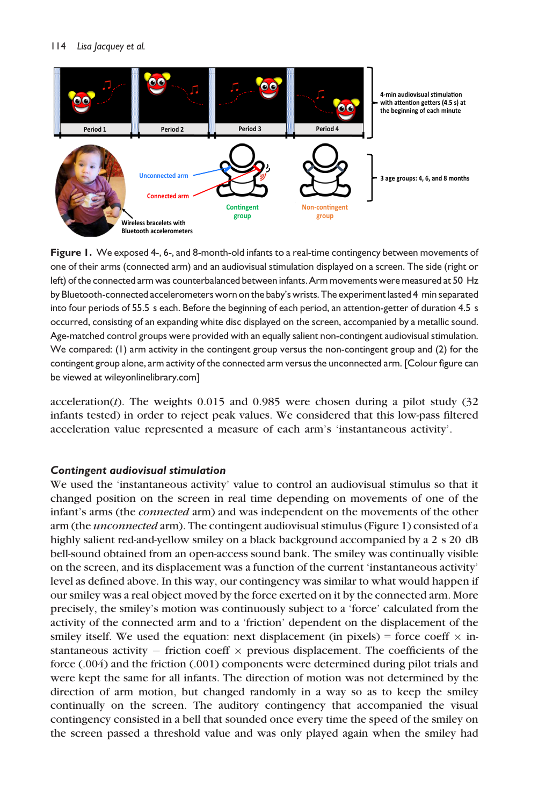

Figure 1. We exposed 4-, 6-, and 8-month-old infants to a real-time contingency between movements of one of their arms (connected arm) and an audiovisual stimulation displayed on a screen. The side (right or left) of the connected arm was counterbalanced between infants. Arm movements were measured at 50 Hz by Bluetooth-connected accelerometers worn on the baby's wrists. The experiment lasted 4 min separated into four periods of 55.5 s each. Before the beginning of each period, an attention-getter of duration 4.5 s occurred, consisting of an expanding white disc displayed on the screen, accompanied by a metallic sound. Age-matched control groups were provided with an equally salient non-contingent audiovisual stimulation. We compared: (1) arm activity in the contingent group versus the non-contingent group and (2) for the contingent group alone, arm activity of the connected arm versus the unconnected arm. [Colour figure can be viewed at wileyonlinelibrary.com]

acceleration(t). The weights  $0.015$  and  $0.985$  were chosen during a pilot study  $(32)$ infants tested) in order to reject peak values. We considered that this low-pass filtered acceleration value represented a measure of each arm's 'instantaneous activity'.

## Contingent audiovisual stimulation

We used the 'instantaneous activity' value to control an audiovisual stimulus so that it changed position on the screen in real time depending on movements of one of the infant's arms (the connected arm) and was independent on the movements of the other arm (the unconnected arm). The contingent audiovisual stimulus (Figure 1) consisted of a highly salient red-and-yellow smiley on a black background accompanied by a 2 s 20 dB bell-sound obtained from an open-access sound bank. The smiley was continually visible on the screen, and its displacement was a function of the current 'instantaneous activity' level as defined above. In this way, our contingency was similar to what would happen if our smiley was a real object moved by the force exerted on it by the connected arm. More precisely, the smiley's motion was continuously subject to a 'force' calculated from the activity of the connected arm and to a 'friction' dependent on the displacement of the smiley itself. We used the equation: next displacement (in pixels) = force coeff  $\times$  instantaneous activity  $-$  friction coeff  $\times$  previous displacement. The coefficients of the force (.004) and the friction (.001) components were determined during pilot trials and were kept the same for all infants. The direction of motion was not determined by the direction of arm motion, but changed randomly in a way so as to keep the smiley continually on the screen. The auditory contingency that accompanied the visual contingency consisted in a bell that sounded once every time the speed of the smiley on the screen passed a threshold value and was only played again when the smiley had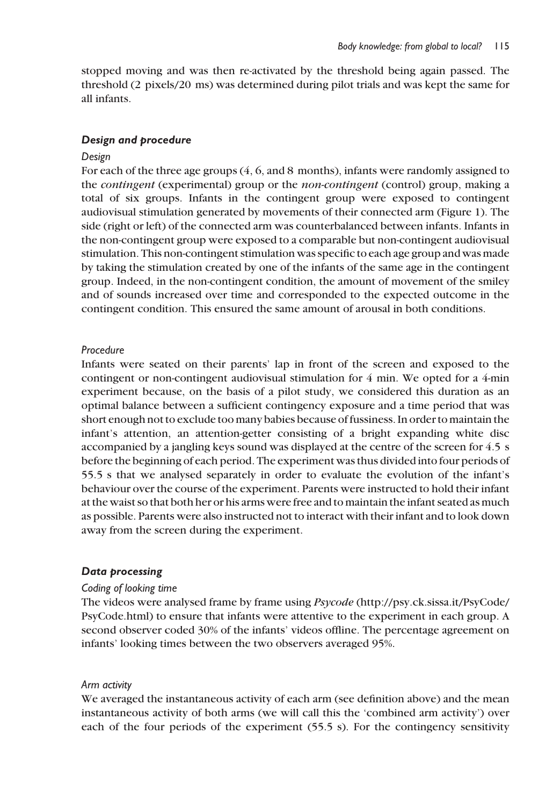stopped moving and was then re-activated by the threshold being again passed. The threshold (2 pixels/20 ms) was determined during pilot trials and was kept the same for all infants.

#### Design and procedure

#### Design

For each of the three age groups (4, 6, and 8 months), infants were randomly assigned to the contingent (experimental) group or the non-contingent (control) group, making a total of six groups. Infants in the contingent group were exposed to contingent audiovisual stimulation generated by movements of their connected arm (Figure 1). The side (right or left) of the connected arm was counterbalanced between infants. Infants in the non-contingent group were exposed to a comparable but non-contingent audiovisual stimulation. This non-contingent stimulation was specific to each age group and was made by taking the stimulation created by one of the infants of the same age in the contingent group. Indeed, in the non-contingent condition, the amount of movement of the smiley and of sounds increased over time and corresponded to the expected outcome in the contingent condition. This ensured the same amount of arousal in both conditions.

#### Procedure

Infants were seated on their parents' lap in front of the screen and exposed to the contingent or non-contingent audiovisual stimulation for 4 min. We opted for a 4-min experiment because, on the basis of a pilot study, we considered this duration as an optimal balance between a sufficient contingency exposure and a time period that was short enough not to exclude too many babies because of fussiness. In order to maintain the infant's attention, an attention-getter consisting of a bright expanding white disc accompanied by a jangling keys sound was displayed at the centre of the screen for 4.5 s before the beginning of each period. The experiment was thus divided into four periods of 55.5 s that we analysed separately in order to evaluate the evolution of the infant's behaviour over the course of the experiment. Parents were instructed to hold their infant at the waist so that both her or his arms were free and to maintain the infant seated as much as possible. Parents were also instructed not to interact with their infant and to look down away from the screen during the experiment.

#### Data processing

#### Coding of looking time

The videos were analysed frame by frame using Psycode [\(http://psy.ck.sissa.it/PsyCode/](ttp://psy.ck.sissa.it/PsyCode/PsyCode.html) [PsyCode.html](ttp://psy.ck.sissa.it/PsyCode/PsyCode.html)) to ensure that infants were attentive to the experiment in each group. A second observer coded 30% of the infants' videos offline. The percentage agreement on infants' looking times between the two observers averaged 95%.

#### Arm activity

We averaged the instantaneous activity of each arm (see definition above) and the mean instantaneous activity of both arms (we will call this the 'combined arm activity') over each of the four periods of the experiment (55.5 s). For the contingency sensitivity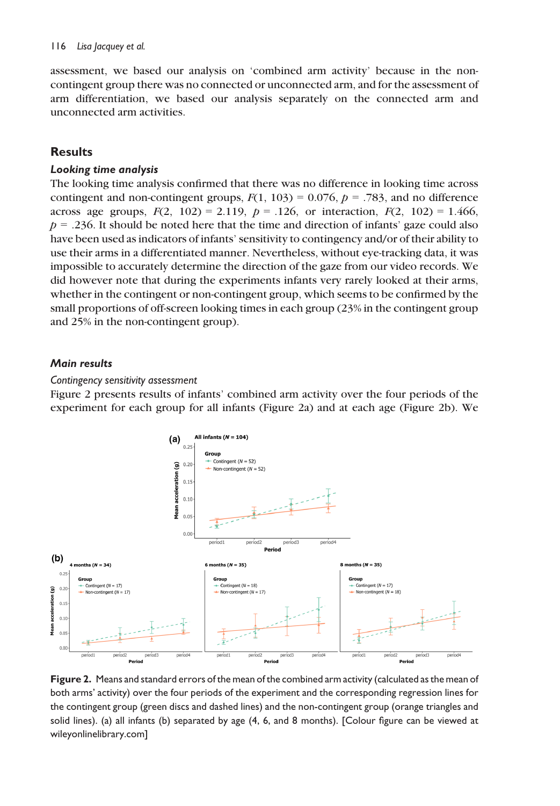assessment, we based our analysis on 'combined arm activity' because in the noncontingent group there was no connected or unconnected arm, and for the assessment of arm differentiation, we based our analysis separately on the connected arm and unconnected arm activities.

## Results

## Looking time analysis

The looking time analysis confirmed that there was no difference in looking time across contingent and non-contingent groups,  $F(1, 103) = 0.076$ ,  $p = .783$ , and no difference across age groups,  $F(2, 102) = 2.119$ ,  $p = .126$ , or interaction,  $F(2, 102) = 1.466$ ,  $p = 0.236$ . It should be noted here that the time and direction of infants' gaze could also have been used as indicators of infants' sensitivity to contingency and/or of their ability to use their arms in a differentiated manner. Nevertheless, without eye-tracking data, it was impossible to accurately determine the direction of the gaze from our video records. We did however note that during the experiments infants very rarely looked at their arms, whether in the contingent or non-contingent group, which seems to be confirmed by the small proportions of off-screen looking times in each group (23% in the contingent group and 25% in the non-contingent group).

## Main results

#### Contingency sensitivity assessment

Figure 2 presents results of infants' combined arm activity over the four periods of the experiment for each group for all infants (Figure 2a) and at each age (Figure 2b). We



Figure 2. Means and standard errors of the mean of the combined arm activity (calculated as the mean of both arms' activity) over the four periods of the experiment and the corresponding regression lines for the contingent group (green discs and dashed lines) and the non-contingent group (orange triangles and solid lines). (a) all infants (b) separated by age (4, 6, and 8 months). [Colour figure can be viewed at wileyonlinelibrary.com]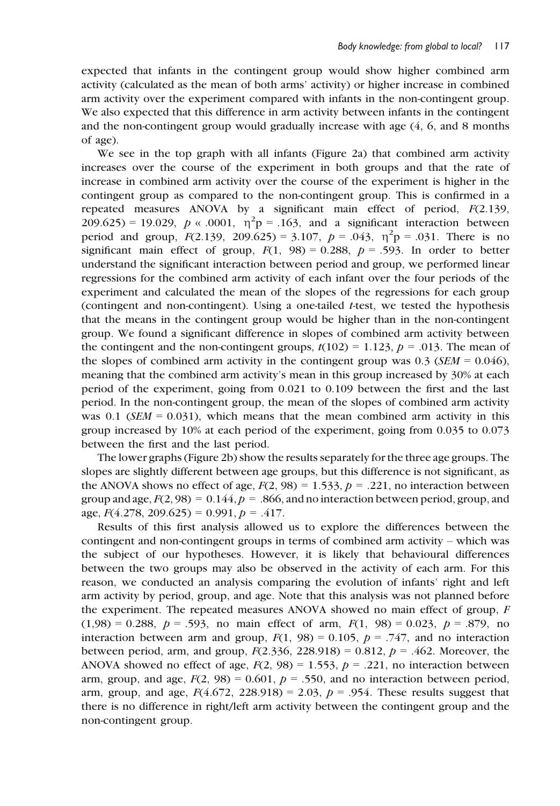expected that infants in the contingent group would show higher combined arm activity (calculated as the mean of both arms' activity) or higher increase in combined arm activity over the experiment compared with infants in the non-contingent group. We also expected that this difference in arm activity between infants in the contingent and the non-contingent group would gradually increase with age (4, 6, and 8 months of age).

We see in the top graph with all infants (Figure 2a) that combined arm activity increases over the course of the experiment in both groups and that the rate of increase in combined arm activity over the course of the experiment is higher in the contingent group as compared to the non-contingent group. This is confirmed in a repeated measures ANOVA by a significant main effect of period, F(2.139,  $209.625$  = 19.029, p « .0001,  $\eta^2 p = .163$ , and a significant interaction between<br>period and group  $F(2.139 \cdot 209.625) = 3.107$   $p = .043$   $n^2 p = .031$  There is no period and group,  $F(2.139, 209.625) = 3.107$ ,  $p = .043$ ,  $\eta^2 p = .031$ . There is no<br>significant main effect of group  $F(198) = 0.288$ ,  $p = 593$ . In order to better significant main effect of group,  $F(1, 98) = 0.288$ ,  $p = .593$ . In order to better understand the significant interaction between period and group, we performed linear regressions for the combined arm activity of each infant over the four periods of the experiment and calculated the mean of the slopes of the regressions for each group (contingent and non-contingent). Using a one-tailed  $t$ -test, we tested the hypothesis that the means in the contingent group would be higher than in the non-contingent group. We found a significant difference in slopes of combined arm activity between the contingent and the non-contingent groups,  $t(102) = 1.123$ ,  $p = .013$ . The mean of the slopes of combined arm activity in the contingent group was 0.3 ( $SEM = 0.046$ ), meaning that the combined arm activity's mean in this group increased by 30% at each period of the experiment, going from 0.021 to 0.109 between the first and the last period. In the non-contingent group, the mean of the slopes of combined arm activity was 0.1 ( $SEM = 0.031$ ), which means that the mean combined arm activity in this group increased by 10% at each period of the experiment, going from 0.035 to 0.073 between the first and the last period.

The lower graphs (Figure 2b) show the results separately for the three age groups. The slopes are slightly different between age groups, but this difference is not significant, as the ANOVA shows no effect of age,  $F(2, 98) = 1.533$ ,  $p = .221$ , no interaction between group and age,  $F(2, 98) = 0.144$ ,  $p = .866$ , and no interaction between period, group, and age,  $F(4.278, 209.625) = 0.991, p = .417$ .

Results of this first analysis allowed us to explore the differences between the contingent and non-contingent groups in terms of combined arm activity – which was the subject of our hypotheses. However, it is likely that behavioural differences between the two groups may also be observed in the activity of each arm. For this reason, we conducted an analysis comparing the evolution of infants' right and left arm activity by period, group, and age. Note that this analysis was not planned before the experiment. The repeated measures ANOVA showed no main effect of group, F  $(1,98) = 0.288$ ,  $p = .593$ , no main effect of arm,  $F(1, 98) = 0.023$ ,  $p = .879$ , no interaction between arm and group,  $F(1, 98) = 0.105$ ,  $p = .747$ , and no interaction between period, arm, and group,  $F(2.336, 228.918) = 0.812$ ,  $p = .462$ . Moreover, the ANOVA showed no effect of age,  $F(2, 98) = 1.553$ ,  $p = .221$ , no interaction between arm, group, and age,  $F(2, 98) = 0.601$ ,  $p = 0.550$ , and no interaction between period, arm, group, and age,  $F(4.672, 228.918) = 2.03$ ,  $p = .954$ . These results suggest that there is no difference in right/left arm activity between the contingent group and the non-contingent group.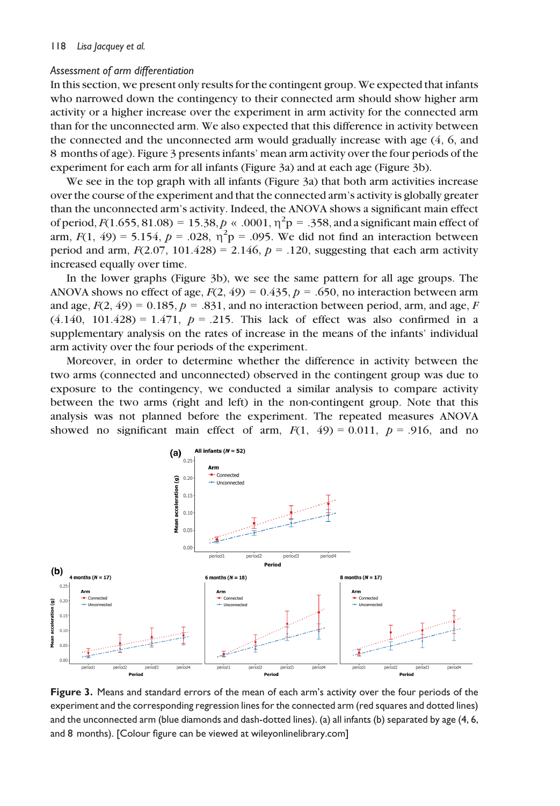#### Assessment of arm differentiation

In this section, we present only results for the contingent group. We expected that infants who narrowed down the contingency to their connected arm should show higher arm activity or a higher increase over the experiment in arm activity for the connected arm than for the unconnected arm. We also expected that this difference in activity between the connected and the unconnected arm would gradually increase with age (4, 6, and 8 months of age). Figure 3 presents infants' mean arm activity over the four periods of the experiment for each arm for all infants (Figure 3a) and at each age (Figure 3b).

We see in the top graph with all infants (Figure 3a) that both arm activities increase over the course of the experiment and that the connected arm's activity is globally greater than the unconnected arm's activity. Indeed, the ANOVA shows a significant main effect of period,  $F(1.655, 81.08) = 15.38$ ,  $p \ll .0001$ ,  $\eta^2 p = .358$ , and a significant main effect of arm  $F(1.49) = 5.154$ ,  $p = .028$ ,  $\eta^2 p = .095$ . We did not find an interaction between arm,  $F(1, 49) = 5.154$ ,  $p = .028$ ,  $\bar{q}^2 p = .095$ . We did not find an interaction between<br>period and arm  $F(2.07, 101.428) = 2.146$ ,  $p = .120$ , suggesting that each arm activity period and arm,  $F(2.07, 101.428) = 2.146$ ,  $p = .120$ , suggesting that each arm activity increased equally over time.

In the lower graphs (Figure 3b), we see the same pattern for all age groups. The ANOVA shows no effect of age,  $F(2, 49) = 0.435$ ,  $p = .650$ , no interaction between arm and age,  $F(2, 49) = 0.185$ ,  $p = .831$ , and no interaction between period, arm, and age, F  $(4.140, 101.428) = 1.471, p = .215$ . This lack of effect was also confirmed in a supplementary analysis on the rates of increase in the means of the infants' individual arm activity over the four periods of the experiment.

Moreover, in order to determine whether the difference in activity between the two arms (connected and unconnected) observed in the contingent group was due to exposure to the contingency, we conducted a similar analysis to compare activity between the two arms (right and left) in the non-contingent group. Note that this analysis was not planned before the experiment. The repeated measures ANOVA showed no significant main effect of arm,  $F(1, 49) = 0.011$ ,  $p = .916$ , and no



Figure 3. Means and standard errors of the mean of each arm's activity over the four periods of the experiment and the corresponding regression lines for the connected arm (red squares and dotted lines) and the unconnected arm (blue diamonds and dash-dotted lines). (a) all infants (b) separated by age (4, 6, and 8 months). [Colour figure can be viewed at wileyonlinelibrary.com]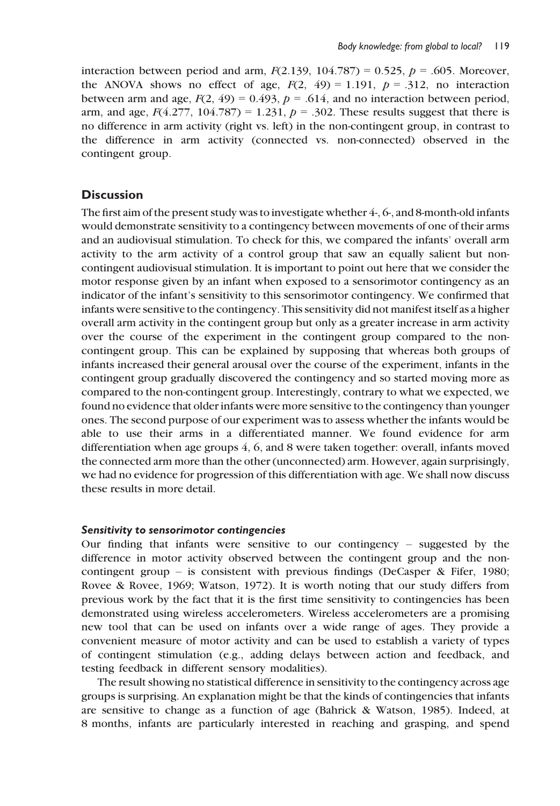interaction between period and arm,  $F(2.139, 104.787) = 0.525$ ,  $p = .605$ . Moreover, the ANOVA shows no effect of age,  $F(2, 49) = 1.191$ ,  $p = .312$ , no interaction between arm and age,  $F(2, 49) = 0.493$ ,  $p = .614$ , and no interaction between period, arm, and age,  $F(4.277, 104.787) = 1.231, p = .302$ . These results suggest that there is no difference in arm activity (right vs. left) in the non-contingent group, in contrast to the difference in arm activity (connected vs. non-connected) observed in the contingent group.

## **Discussion**

The first aim of the present study was to investigate whether 4-, 6-, and 8-month-old infants would demonstrate sensitivity to a contingency between movements of one of their arms and an audiovisual stimulation. To check for this, we compared the infants' overall arm activity to the arm activity of a control group that saw an equally salient but noncontingent audiovisual stimulation. It is important to point out here that we consider the motor response given by an infant when exposed to a sensorimotor contingency as an indicator of the infant's sensitivity to this sensorimotor contingency. We confirmed that infants were sensitive to the contingency. This sensitivity did not manifest itself as a higher overall arm activity in the contingent group but only as a greater increase in arm activity over the course of the experiment in the contingent group compared to the noncontingent group. This can be explained by supposing that whereas both groups of infants increased their general arousal over the course of the experiment, infants in the contingent group gradually discovered the contingency and so started moving more as compared to the non-contingent group. Interestingly, contrary to what we expected, we found no evidence that older infants were more sensitive to the contingency than younger ones. The second purpose of our experiment was to assess whether the infants would be able to use their arms in a differentiated manner. We found evidence for arm differentiation when age groups 4, 6, and 8 were taken together: overall, infants moved the connected arm more than the other (unconnected) arm. However, again surprisingly, we had no evidence for progression of this differentiation with age. We shall now discuss these results in more detail.

#### Sensitivity to sensorimotor contingencies

Our finding that infants were sensitive to our contingency – suggested by the difference in motor activity observed between the contingent group and the noncontingent group – is consistent with previous findings (DeCasper & Fifer, 1980; Rovee & Rovee, 1969; Watson, 1972). It is worth noting that our study differs from previous work by the fact that it is the first time sensitivity to contingencies has been demonstrated using wireless accelerometers. Wireless accelerometers are a promising new tool that can be used on infants over a wide range of ages. They provide a convenient measure of motor activity and can be used to establish a variety of types of contingent stimulation (e.g., adding delays between action and feedback, and testing feedback in different sensory modalities).

The result showing no statistical difference in sensitivity to the contingency across age groups is surprising. An explanation might be that the kinds of contingencies that infants are sensitive to change as a function of age (Bahrick & Watson, 1985). Indeed, at 8 months, infants are particularly interested in reaching and grasping, and spend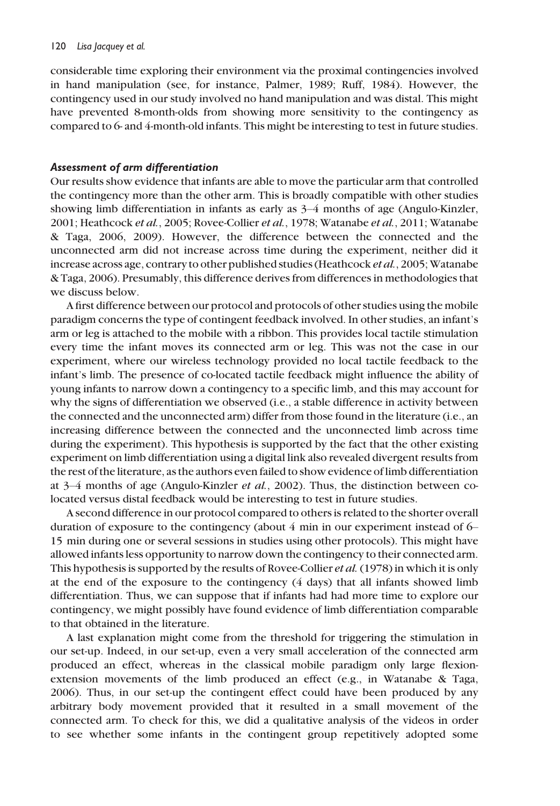considerable time exploring their environment via the proximal contingencies involved in hand manipulation (see, for instance, Palmer, 1989; Ruff, 1984). However, the contingency used in our study involved no hand manipulation and was distal. This might have prevented 8-month-olds from showing more sensitivity to the contingency as compared to 6- and 4-month-old infants. This might be interesting to test in future studies.

#### Assessment of arm differentiation

Our results show evidence that infants are able to move the particular arm that controlled the contingency more than the other arm. This is broadly compatible with other studies showing limb differentiation in infants as early as 3–4 months of age (Angulo-Kinzler, 2001; Heathcock et al., 2005; Rovee-Collier et al., 1978; Watanabe et al., 2011; Watanabe & Taga, 2006, 2009). However, the difference between the connected and the unconnected arm did not increase across time during the experiment, neither did it increase across age, contrary to other published studies (Heathcock *et al.*, 2005; Watanabe & Taga, 2006). Presumably, this difference derives from differences in methodologies that we discuss below.

A first difference between our protocol and protocols of other studies using the mobile paradigm concerns the type of contingent feedback involved. In other studies, an infant's arm or leg is attached to the mobile with a ribbon. This provides local tactile stimulation every time the infant moves its connected arm or leg. This was not the case in our experiment, where our wireless technology provided no local tactile feedback to the infant's limb. The presence of co-located tactile feedback might influence the ability of young infants to narrow down a contingency to a specific limb, and this may account for why the signs of differentiation we observed (i.e., a stable difference in activity between the connected and the unconnected arm) differ from those found in the literature (i.e., an increasing difference between the connected and the unconnected limb across time during the experiment). This hypothesis is supported by the fact that the other existing experiment on limb differentiation using a digital link also revealed divergent results from the rest of the literature, as the authors even failed to show evidence of limb differentiation at  $3-4$  months of age (Angulo-Kinzler *et al.*, 2002). Thus, the distinction between colocated versus distal feedback would be interesting to test in future studies.

A second difference in our protocol compared to others is related to the shorter overall duration of exposure to the contingency (about 4 min in our experiment instead of 6– 15 min during one or several sessions in studies using other protocols). This might have allowed infants less opportunity to narrow down the contingency to their connected arm. This hypothesis is supported by the results of Rovee-Collier *et al.* (1978) in which it is only at the end of the exposure to the contingency (4 days) that all infants showed limb differentiation. Thus, we can suppose that if infants had had more time to explore our contingency, we might possibly have found evidence of limb differentiation comparable to that obtained in the literature.

A last explanation might come from the threshold for triggering the stimulation in our set-up. Indeed, in our set-up, even a very small acceleration of the connected arm produced an effect, whereas in the classical mobile paradigm only large flexionextension movements of the limb produced an effect (e.g., in Watanabe & Taga, 2006). Thus, in our set-up the contingent effect could have been produced by any arbitrary body movement provided that it resulted in a small movement of the connected arm. To check for this, we did a qualitative analysis of the videos in order to see whether some infants in the contingent group repetitively adopted some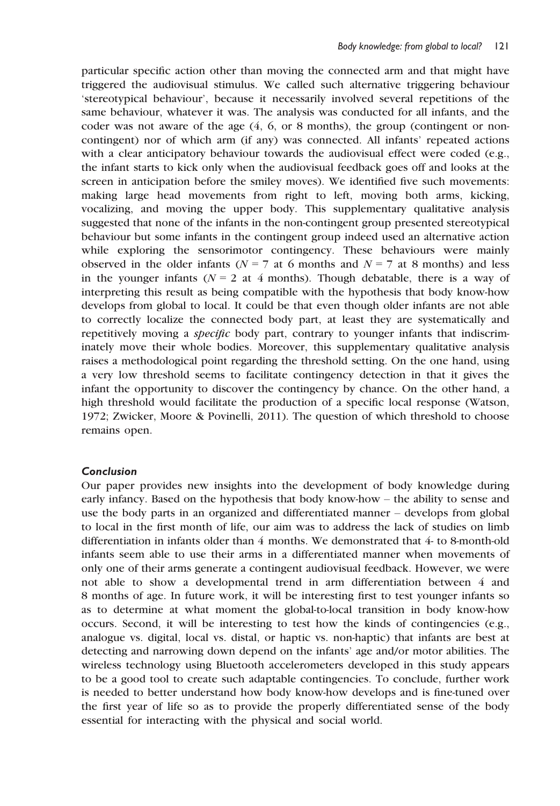particular specific action other than moving the connected arm and that might have triggered the audiovisual stimulus. We called such alternative triggering behaviour 'stereotypical behaviour', because it necessarily involved several repetitions of the same behaviour, whatever it was. The analysis was conducted for all infants, and the coder was not aware of the age  $(4, 6, or 8$  months), the group (contingent or noncontingent) nor of which arm (if any) was connected. All infants' repeated actions with a clear anticipatory behaviour towards the audiovisual effect were coded (e.g., the infant starts to kick only when the audiovisual feedback goes off and looks at the screen in anticipation before the smiley moves). We identified five such movements: making large head movements from right to left, moving both arms, kicking, vocalizing, and moving the upper body. This supplementary qualitative analysis suggested that none of the infants in the non-contingent group presented stereotypical behaviour but some infants in the contingent group indeed used an alternative action while exploring the sensorimotor contingency. These behaviours were mainly observed in the older infants ( $N = 7$  at 6 months and  $N = 7$  at 8 months) and less in the younger infants ( $N = 2$  at 4 months). Though debatable, there is a way of interpreting this result as being compatible with the hypothesis that body know-how develops from global to local. It could be that even though older infants are not able to correctly localize the connected body part, at least they are systematically and repetitively moving a specific body part, contrary to younger infants that indiscriminately move their whole bodies. Moreover, this supplementary qualitative analysis raises a methodological point regarding the threshold setting. On the one hand, using a very low threshold seems to facilitate contingency detection in that it gives the infant the opportunity to discover the contingency by chance. On the other hand, a high threshold would facilitate the production of a specific local response (Watson, 1972; Zwicker, Moore & Povinelli, 2011). The question of which threshold to choose remains open.

#### Conclusion

Our paper provides new insights into the development of body knowledge during early infancy. Based on the hypothesis that body know-how – the ability to sense and use the body parts in an organized and differentiated manner – develops from global to local in the first month of life, our aim was to address the lack of studies on limb differentiation in infants older than 4 months. We demonstrated that 4- to 8-month-old infants seem able to use their arms in a differentiated manner when movements of only one of their arms generate a contingent audiovisual feedback. However, we were not able to show a developmental trend in arm differentiation between 4 and 8 months of age. In future work, it will be interesting first to test younger infants so as to determine at what moment the global-to-local transition in body know-how occurs. Second, it will be interesting to test how the kinds of contingencies (e.g., analogue vs. digital, local vs. distal, or haptic vs. non-haptic) that infants are best at detecting and narrowing down depend on the infants' age and/or motor abilities. The wireless technology using Bluetooth accelerometers developed in this study appears to be a good tool to create such adaptable contingencies. To conclude, further work is needed to better understand how body know-how develops and is fine-tuned over the first year of life so as to provide the properly differentiated sense of the body essential for interacting with the physical and social world.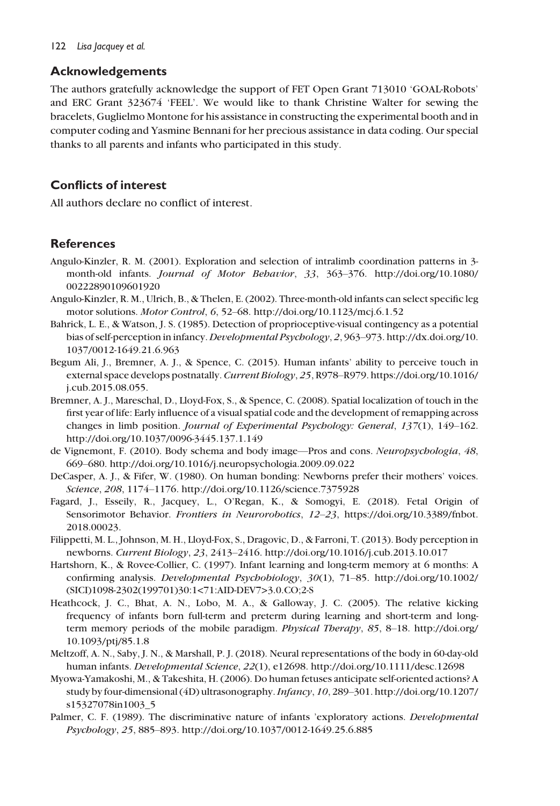## Acknowledgements

The authors gratefully acknowledge the support of FET Open Grant 713010 'GOAL-Robots' and ERC Grant 323674 'FEEL'. We would like to thank Christine Walter for sewing the bracelets, Guglielmo Montone for his assistance in constructing the experimental booth and in computer coding and Yasmine Bennani for her precious assistance in data coding. Our special thanks to all parents and infants who participated in this study.

## Conflicts of interest

All authors declare no conflict of interest.

## **References**

- Angulo-Kinzler, R. M. (2001). Exploration and selection of intralimb coordination patterns in 3 month-old infants. Journal of Motor Behavior, 33, 363–376. [http://doi.org/10.1080/](http://doi.org/10.1080/00222890109601920) [00222890109601920](http://doi.org/10.1080/00222890109601920)
- Angulo-Kinzler, R. M., Ulrich, B., & Thelen, E. (2002). Three-month-old infants can select specific leg motor solutions. Motor Control, 6, 52–68.<http://doi.org/10.1123/mcj.6.1.52>
- Bahrick, L. E., & Watson, J. S. (1985). Detection of proprioceptive-visual contingency as a potential bias of self-perception in infancy. Developmental Psychology, 2, 963–973. [http://dx.doi.org/10.](http://dx.doi.org/10.1037/0012-1649.21.6.963) [1037/0012-1649.21.6.963](http://dx.doi.org/10.1037/0012-1649.21.6.963)
- Begum Ali, J., Bremner, A. J., & Spence, C. (2015). Human infants' ability to perceive touch in external space develops postnatally. Current Biology, 25, R978–R979. [https://doi.org/10.1016/](https://doi.org/10.1016/j.cub.2015.08.055) [j.cub.2015.08.055](https://doi.org/10.1016/j.cub.2015.08.055).
- Bremner, A. J., Mareschal, D., Lloyd-Fox, S., & Spence, C. (2008). Spatial localization of touch in the first year of life: Early influence of a visual spatial code and the development of remapping across changes in limb position. Journal of Experimental Psychology: General, 137(1), 149-162. <http://doi.org/10.1037/0096-3445.137.1.149>
- de Vignemont, F. (2010). Body schema and body image—Pros and cons. Neuropsychologia, 48, 669–680.<http://doi.org/10.1016/j.neuropsychologia.2009.09.022>
- DeCasper, A. J., & Fifer, W. (1980). On human bonding: Newborns prefer their mothers' voices. Science, 208, 1174–1176.<http://doi.org/10.1126/science.7375928>
- Fagard, J., Esseily, R., Jacquey, L., O'Regan, K., & Somogyi, E. (2018). Fetal Origin of Sensorimotor Behavior. Frontiers in Neurorobotics, 12–23, [https://doi.org/10.3389/fnbot.](https://doi.org/10.3389/fnbot.2018.00023) [2018.00023.](https://doi.org/10.3389/fnbot.2018.00023)
- Filippetti, M. L., Johnson, M. H., Lloyd-Fox, S., Dragovic, D., & Farroni, T. (2013). Body perception in newborns. Current Biology, 23, 2413–2416.<http://doi.org/10.1016/j.cub.2013.10.017>
- Hartshorn, K., & Rovee-Collier, C. (1997). Infant learning and long-term memory at 6 months: A confirming analysis. Developmental Psychobiology, 30(1), 71–85. [http://doi.org/10.1002/](http://doi.org/10.1002/(SICI)1098-2302(199701)30:1<71:AID-DEV7>3.0.CO;2-S) [\(SICI\)1098-2302\(199701\)30:1<71:AID-DEV7>3.0.CO;2-S](http://doi.org/10.1002/(SICI)1098-2302(199701)30:1<71:AID-DEV7>3.0.CO;2-S)
- Heathcock, J. C., Bhat, A. N., Lobo, M. A., & Galloway, J. C. (2005). The relative kicking frequency of infants born full-term and preterm during learning and short-term and longterm memory periods of the mobile paradigm. Physical Therapy, 85, 8–18. [http://doi.org/](http://doi.org/10.1093/ptj/85.1.8) [10.1093/ptj/85.1.8](http://doi.org/10.1093/ptj/85.1.8)
- Meltzoff, A. N., Saby, J. N., & Marshall, P. J. (2018). Neural representations of the body in 60-day-old human infants. Developmental Science, 22(1), e12698.<http://doi.org/10.1111/desc.12698>
- Myowa-Yamakoshi, M., & Takeshita, H. (2006). Do human fetuses anticipate self-oriented actions? A study by four-dimensional (4D) ultrasonography.Infancy, 10, 289–301. [http://doi.org/10.1207/](http://doi.org/10.1207/s15327078in1003_5) [s15327078in1003\\_5](http://doi.org/10.1207/s15327078in1003_5)
- Palmer, C. F. (1989). The discriminative nature of infants 'exploratory actions. *Developmental* Psychology, 25, 885–893.<http://doi.org/10.1037/0012-1649.25.6.885>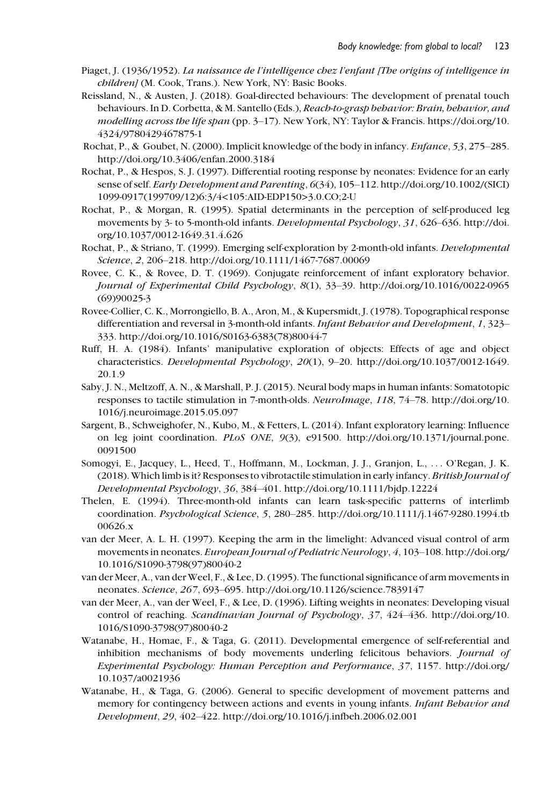- Piaget, J. (1936/1952). La naissance de l'intelligence chez l'enfant [The origins of intelligence in children] (M. Cook, Trans.). New York, NY: Basic Books.
- Reissland, N., & Austen, J. (2018). Goal-directed behaviours: The development of prenatal touch behaviours. In D. Corbetta, & M. Santello (Eds.), Reach-to-grasp behavior: Brain, behavior, and modelling across the life span (pp. 3–17). New York, NY: Taylor & Francis. [https://doi.org/10.](https://doi.org/10.4324/9780429467875-1) [4324/9780429467875-1](https://doi.org/10.4324/9780429467875-1)
- Rochat, P., & Goubet, N. (2000). Implicit knowledge of the body in infancy. Enfance, 53, 275–285. <http://doi.org/10.3406/enfan.2000.3184>
- Rochat, P., & Hespos, S. J. (1997). Differential rooting response by neonates: Evidence for an early sense of self. Early Development and Parenting, 6(34), 105–112. [http://doi.org/10.1002/\(SICI\)](http://doi.org/10.1002/(SICI)1099-0917(199709/12)6:3/4<105:AID-EDP150>3.0.CO;2-U) [1099-0917\(199709/12\)6:3/4<105:AID-EDP150>3.0.CO;2-U](http://doi.org/10.1002/(SICI)1099-0917(199709/12)6:3/4<105:AID-EDP150>3.0.CO;2-U)
- Rochat, P., & Morgan, R. (1995). Spatial determinants in the perception of self-produced leg movements by 3- to 5-month-old infants. Developmental Psychology, 31, 626–636. [http://doi.](http://doi.org/10.1037/0012-1649.31.4.626) [org/10.1037/0012-1649.31.4.626](http://doi.org/10.1037/0012-1649.31.4.626)
- Rochat, P., & Striano, T. (1999). Emerging self-exploration by 2-month-old infants. Developmental Science, 2, 206–218.<http://doi.org/10.1111/1467-7687.00069>
- Rovee, C. K., & Rovee, D. T. (1969). Conjugate reinforcement of infant exploratory behavior. Journal of Experimental Child Psychology, 8(1), 33–39. [http://doi.org/10.1016/0022-0965](http://doi.org/10.1016/0022-0965(69)90025-3) [\(69\)90025-3](http://doi.org/10.1016/0022-0965(69)90025-3)
- Rovee-Collier, C. K., Morrongiello, B. A., Aron, M., & Kupersmidt, J. (1978). Topographical response differentiation and reversal in 3-month-old infants. Infant Behavior and Development, 1, 323-333. [http://doi.org/10.1016/S0163-6383\(78\)80044-7](http://doi.org/10.1016/S0163-6383(78)80044-7)
- Ruff, H. A. (1984). Infants' manipulative exploration of objects: Effects of age and object characteristics. Developmental Psychology, 20(1), 9–20. [http://doi.org/10.1037/0012-1649.](http://doi.org/10.1037/0012-1649.20.1.9) [20.1.9](http://doi.org/10.1037/0012-1649.20.1.9)
- Saby, J. N., Meltzoff, A. N., & Marshall, P. J. (2015). Neural body maps in human infants: Somatotopic responses to tactile stimulation in 7-month-olds. NeuroImage, 118, 74–78. [http://doi.org/10.](http://doi.org/10.1016/j.neuroimage.2015.05.097) [1016/j.neuroimage.2015.05.097](http://doi.org/10.1016/j.neuroimage.2015.05.097)
- Sargent, B., Schweighofer, N., Kubo, M., & Fetters, L. (2014). Infant exploratory learning: Influence on leg joint coordination. PLoS ONE, 9(3), e91500. [http://doi.org/10.1371/journal.pone.](http://doi.org/10.1371/journal.pone.0091500) [0091500](http://doi.org/10.1371/journal.pone.0091500)
- Somogyi, E., Jacquey, L., Heed, T., Hoffmann, M., Lockman, J. J., Granjon, L., ... O'Regan, J. K. (2018).Which limb is it? Responses to vibrotactile stimulation in early infancy.British Journal of Developmental Psychology, 36, 384–401.<http://doi.org/10.1111/bjdp.12224>
- Thelen, E. (1994). Three-month-old infants can learn task-specific patterns of interlimb coordination. Psychological Science, 5, 280–285. [http://doi.org/10.1111/j.1467-9280.1994.tb](http://doi.org/10.1111/j.1467-9280.1994.tb00626.x) [00626.x](http://doi.org/10.1111/j.1467-9280.1994.tb00626.x)
- van der Meer, A. L. H. (1997). Keeping the arm in the limelight: Advanced visual control of arm movements in neonates. European Journal of Pediatric Neurology, 4, 103–108. [http://doi.org/](http://doi.org/10.1016/S1090-3798(97)80040-2) [10.1016/S1090-3798\(97\)80040-2](http://doi.org/10.1016/S1090-3798(97)80040-2)
- van der Meer, A., van derWeel, F., & Lee, D. (1995). The functional significance of arm movements in neonates. Science, 267, 693–695.<http://doi.org/10.1126/science.7839147>
- van der Meer, A., van der Weel, F., & Lee, D. (1996). Lifting weights in neonates: Developing visual control of reaching. Scandinavian Journal of Psychology, 37, 424–436. [http://doi.org/10.](http://doi.org/10.1016/S1090-3798(97)80040-2) [1016/S1090-3798\(97\)80040-2](http://doi.org/10.1016/S1090-3798(97)80040-2)
- Watanabe, H., Homae, F., & Taga, G. (2011). Developmental emergence of self-referential and inhibition mechanisms of body movements underling felicitous behaviors. Journal of Experimental Psychology: Human Perception and Performance, 37, 1157. [http://doi.org/](http://doi.org/10.1037/a0021936) [10.1037/a0021936](http://doi.org/10.1037/a0021936)
- Watanabe, H., & Taga, G. (2006). General to specific development of movement patterns and memory for contingency between actions and events in young infants. *Infant Behavior and* Development, 29, 402–422.<http://doi.org/10.1016/j.infbeh.2006.02.001>